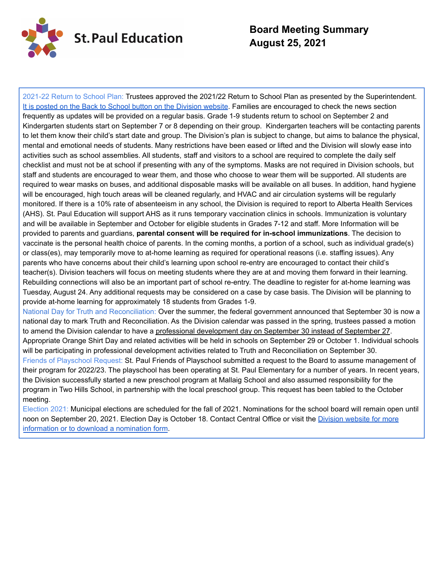

# **Board Meeting Summary August 25, 2021**

2021-22 Return to School Plan: Trustees approved the 2021/22 Return to School Plan as presented by the Superintendent. It is posted on the Back to School button on the [Division](https://drive.google.com/file/d/1rImEWFp7D2iL63E9wbRM9O8Xon2eCcg3/view) website. Families are encouraged to check the news section frequently as updates will be provided on a regular basis. Grade 1-9 students return to school on September 2 and Kindergarten students start on September 7 or 8 depending on their group. Kindergarten teachers will be contacting parents to let them know their child's start date and group. The Division's plan is subject to change, but aims to balance the physical, mental and emotional needs of students. Many restrictions have been eased or lifted and the Division will slowly ease into activities such as school assemblies. All students, staff and visitors to a school are required to complete the daily self checklist and must not be at school if presenting with any of the symptoms. Masks are not required in Division schools, but staff and students are encouraged to wear them, and those who choose to wear them will be supported. All students are required to wear masks on buses, and additional disposable masks will be available on all buses. In addition, hand hygiene will be encouraged, high touch areas will be cleaned regularly, and HVAC and air circulation systems will be regularly monitored. If there is a 10% rate of absenteeism in any school, the Division is required to report to Alberta Health Services (AHS). St. Paul Education will support AHS as it runs temporary vaccination clinics in schools. Immunization is voluntary and will be available in September and October for eligible students in Grades 7-12 and staff. More Information will be provided to parents and guardians, **parental consent will be required for in-school immunizations**. The decision to vaccinate is the personal health choice of parents. In the coming months, a portion of a school, such as individual grade(s) or class(es), may temporarily move to at-home learning as required for operational reasons (i.e. staffing issues). Any parents who have concerns about their child's learning upon school re-entry are encouraged to contact their child's teacher(s). Division teachers will focus on meeting students where they are at and moving them forward in their learning. Rebuilding connections will also be an important part of school re-entry. The deadline to register for at-home learning was Tuesday, August 24. Any additional requests may be considered on a case by case basis. The Division will be planning to provide at-home learning for approximately 18 students from Grades 1-9. National Day for Truth and Reconciliation: Over the summer, the federal government announced that September 30 is now a

national day to mark Truth and Reconciliation. As the Division calendar was passed in the spring, trustees passed a motion to amend the Division calendar to have a professional development day on September 30 instead of September 27. Appropriate Orange Shirt Day and related activities will be held in schools on September 29 or October 1. Individual schools will be participating in professional development activities related to Truth and Reconciliation on September 30. Friends of Playschool Request: St. Paul Friends of Playschool submitted a request to the Board to assume management of their program for 2022/23. The playschool has been operating at St. Paul Elementary for a number of years. In recent years, the Division successfully started a new preschool program at Mallaig School and also assumed responsibility for the program in Two Hills School, in partnership with the local preschool group. This request has been tabled to the October meeting.

Election 2021: Municipal elections are scheduled for the fall of 2021. Nominations for the school board will remain open until noon on September 20, 2021. Election Day is October 18. Contact Central Office or visit the [Division](https://www.stpauleducation.ab.ca/election) website for more [information](https://www.stpauleducation.ab.ca/election) or to download a nomination form.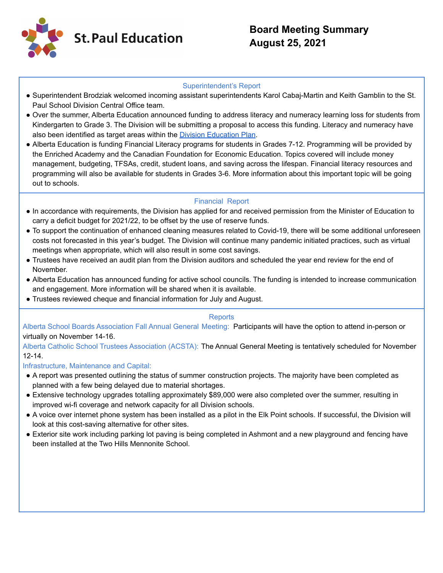

### Superintendent's Report

- Superintendent Brodziak welcomed incoming assistant superintendents Karol Cabaj-Martin and Keith Gamblin to the St. Paul School Division Central Office team.
- Over the summer, Alberta Education announced funding to address literacy and numeracy learning loss for students from Kindergarten to Grade 3. The Division will be submitting a proposal to access this funding. Literacy and numeracy have also been identified as target areas within the Division [Education](https://drive.google.com/file/d/1gVSqHZ0PmKEdQAxT1nmlwibswFsgHHnr/view) Plan.
- Alberta Education is funding Financial Literacy programs for students in Grades 7-12. Programming will be provided by the Enriched Academy and the Canadian Foundation for Economic Education. Topics covered will include money management, budgeting, TFSAs, credit, student loans, and saving across the lifespan. Financial literacy resources and programming will also be available for students in Grades 3-6. More information about this important topic will be going out to schools.

## Financial Report

- In accordance with requirements, the Division has applied for and received permission from the Minister of Education to carry a deficit budget for 2021/22, to be offset by the use of reserve funds.
- To support the continuation of enhanced cleaning measures related to Covid-19, there will be some additional unforeseen costs not forecasted in this year's budget. The Division will continue many pandemic initiated practices, such as virtual meetings when appropriate, which will also result in some cost savings.
- Trustees have received an audit plan from the Division auditors and scheduled the year end review for the end of November.
- Alberta Education has announced funding for active school councils. The funding is intended to increase communication and engagement. More information will be shared when it is available.
- Trustees reviewed cheque and financial information for July and August.

### **Reports**

Alberta School Boards Association Fall Annual General Meeting: Participants will have the option to attend in-person or virtually on November 14-16.

Alberta Catholic School Trustees Association (ACSTA): The Annual General Meeting is tentatively scheduled for November 12-14.

### Infrastructure, Maintenance and Capital:

- A report was presented outlining the status of summer construction projects. The majority have been completed as planned with a few being delayed due to material shortages.
- Extensive technology upgrades totalling approximately \$89,000 were also completed over the summer, resulting in improved wi-fi coverage and network capacity for all Division schools.
- A voice over internet phone system has been installed as a pilot in the Elk Point schools. If successful, the Division will look at this cost-saving alternative for other sites.
- Exterior site work including parking lot paving is being completed in Ashmont and a new playground and fencing have been installed at the Two Hills Mennonite School.